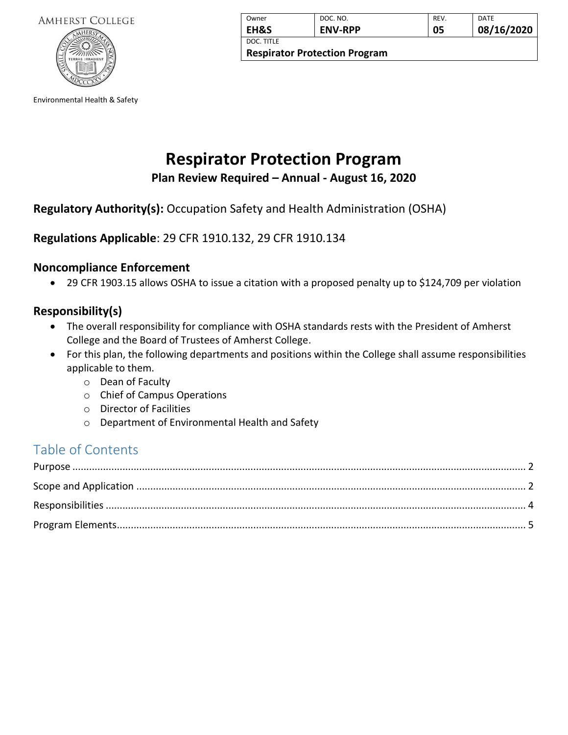

Environmental Health & Safety

| Owner                                | DOC. NO.       | REV. | DATE       |
|--------------------------------------|----------------|------|------------|
| EH&S                                 | <b>ENV-RPP</b> | 05   | 08/16/2020 |
| DOC. TITLE                           |                |      |            |
| <b>Respirator Protection Program</b> |                |      |            |

# **Respirator Protection Program**

**Plan Review Required – Annual - August 16, 2020**

## **Regulatory Authority(s):** Occupation Safety and Health Administration (OSHA)

## **Regulations Applicable**: 29 CFR 1910.132, 29 CFR 1910.134

## **Noncompliance Enforcement**

• 29 CFR 1903.15 allows OSHA to issue a citation with a proposed penalty up to \$124,709 per violation

## **Responsibility(s)**

- The overall responsibility for compliance with OSHA standards rests with the President of Amherst College and the Board of Trustees of Amherst College.
- For this plan, the following departments and positions within the College shall assume responsibilities applicable to them.
	- o Dean of Faculty
	- o Chief of Campus Operations
	- o Director of Facilities
	- o Department of Environmental Health and Safety

## Table of Contents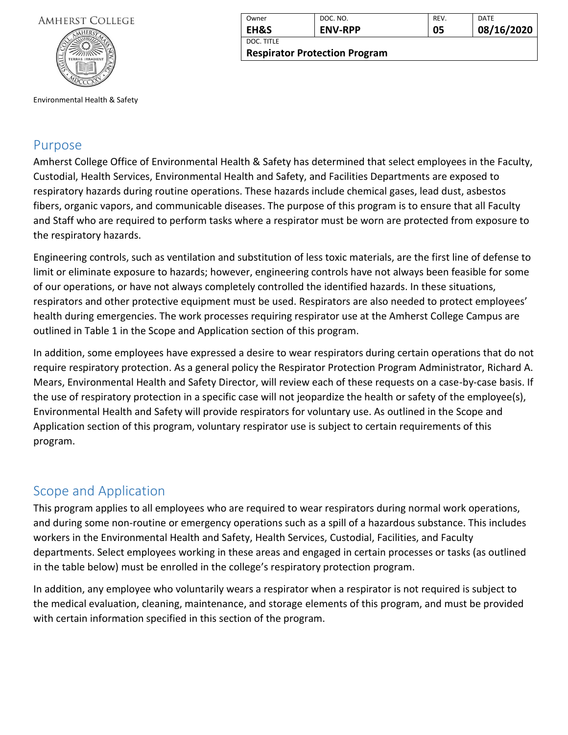

<span id="page-1-0"></span>Environmental Health & Safety

## Purpose

Amherst College Office of Environmental Health & Safety has determined that select employees in the Faculty, Custodial, Health Services, Environmental Health and Safety, and Facilities Departments are exposed to respiratory hazards during routine operations. These hazards include chemical gases, lead dust, asbestos fibers, organic vapors, and communicable diseases. The purpose of this program is to ensure that all Faculty and Staff who are required to perform tasks where a respirator must be worn are protected from exposure to the respiratory hazards.

Engineering controls, such as ventilation and substitution of less toxic materials, are the first line of defense to limit or eliminate exposure to hazards; however, engineering controls have not always been feasible for some of our operations, or have not always completely controlled the identified hazards. In these situations, respirators and other protective equipment must be used. Respirators are also needed to protect employees' health during emergencies. The work processes requiring respirator use at the Amherst College Campus are outlined in Table 1 in the Scope and Application section of this program.

In addition, some employees have expressed a desire to wear respirators during certain operations that do not require respiratory protection. As a general policy the Respirator Protection Program Administrator, Richard A. Mears, Environmental Health and Safety Director, will review each of these requests on a case-by-case basis. If the use of respiratory protection in a specific case will not jeopardize the health or safety of the employee(s), Environmental Health and Safety will provide respirators for voluntary use. As outlined in the Scope and Application section of this program, voluntary respirator use is subject to certain requirements of this program.

## <span id="page-1-1"></span>Scope and Application

This program applies to all employees who are required to wear respirators during normal work operations, and during some non-routine or emergency operations such as a spill of a hazardous substance. This includes workers in the Environmental Health and Safety, Health Services, Custodial, Facilities, and Faculty departments. Select employees working in these areas and engaged in certain processes or tasks (as outlined in the table below) must be enrolled in the college's respiratory protection program.

In addition, any employee who voluntarily wears a respirator when a respirator is not required is subject to the medical evaluation, cleaning, maintenance, and storage elements of this program, and must be provided with certain information specified in this section of the program.

| Owner           | DOC. NO.       | REV. | <b>DATE</b> |
|-----------------|----------------|------|-------------|
| <b>EH&amp;S</b> | <b>ENV-RPP</b> | 05   | 08/16/2020  |
| DOC. TITLE      |                |      |             |

**Respirator Protection Program**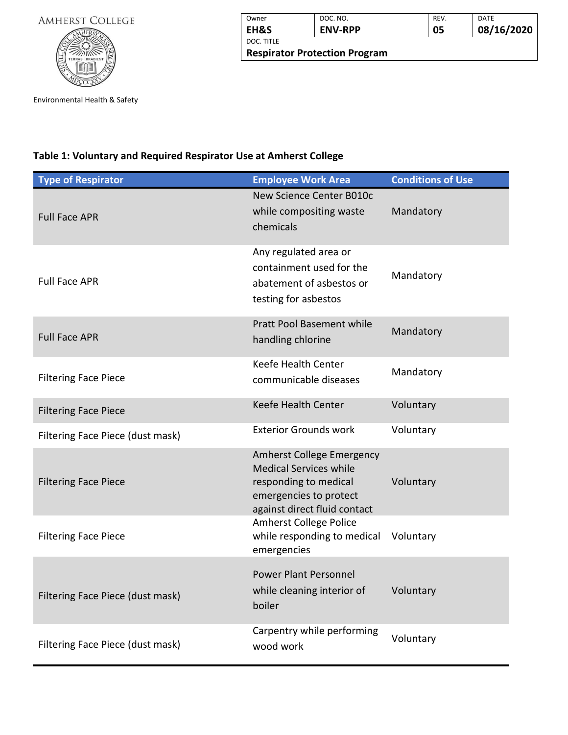

| Owner                                | DOC. NO.       | REV. | <b>DATE</b> |  |
|--------------------------------------|----------------|------|-------------|--|
| EH&S                                 | <b>ENV-RPP</b> | 05   | 08/16/2020  |  |
| DOC. TITLE                           |                |      |             |  |
| <b>Respirator Protection Program</b> |                |      |             |  |

Environmental Health & Safety

## **Table 1: Voluntary and Required Respirator Use at Amherst College**

| <b>Type of Respirator</b>        | <b>Employee Work Area</b>                                                                                                                            | <b>Conditions of Use</b> |
|----------------------------------|------------------------------------------------------------------------------------------------------------------------------------------------------|--------------------------|
| <b>Full Face APR</b>             | New Science Center B010c<br>while compositing waste<br>chemicals                                                                                     | Mandatory                |
| <b>Full Face APR</b>             | Any regulated area or<br>containment used for the<br>abatement of asbestos or<br>testing for asbestos                                                | Mandatory                |
| <b>Full Face APR</b>             | <b>Pratt Pool Basement while</b><br>handling chlorine                                                                                                | Mandatory                |
| <b>Filtering Face Piece</b>      | Keefe Health Center<br>communicable diseases                                                                                                         | Mandatory                |
| <b>Filtering Face Piece</b>      | Keefe Health Center                                                                                                                                  | Voluntary                |
| Filtering Face Piece (dust mask) | <b>Exterior Grounds work</b>                                                                                                                         | Voluntary                |
| <b>Filtering Face Piece</b>      | <b>Amherst College Emergency</b><br><b>Medical Services while</b><br>responding to medical<br>emergencies to protect<br>against direct fluid contact | Voluntary                |
| <b>Filtering Face Piece</b>      | <b>Amherst College Police</b><br>while responding to medical<br>emergencies                                                                          | Voluntary                |
| Filtering Face Piece (dust mask) | <b>Power Plant Personnel</b><br>while cleaning interior of<br>boiler                                                                                 | Voluntary                |
| Filtering Face Piece (dust mask) | Carpentry while performing<br>wood work                                                                                                              | Voluntary                |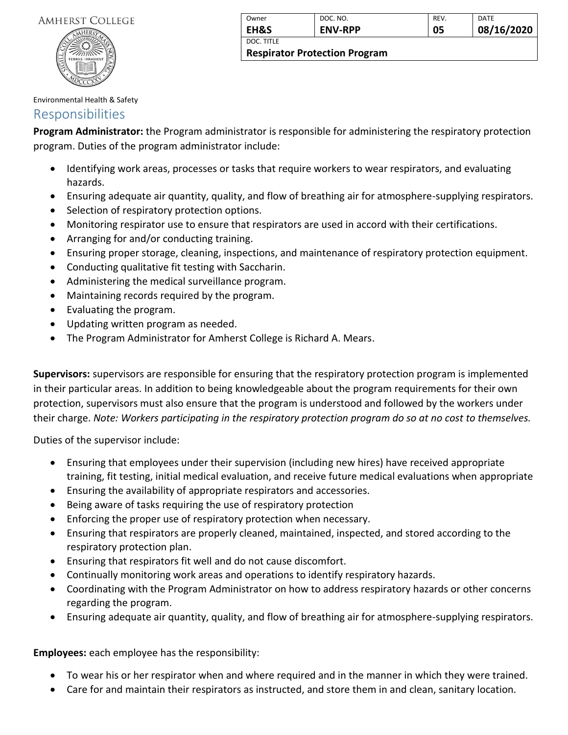

| Owner                                | DOC. NO.       | <b>REV</b> | <b>DATE</b> |
|--------------------------------------|----------------|------------|-------------|
| <b>EH&amp;S</b>                      | <b>ENV-RPP</b> | 05         | 08/16/2020  |
| DOC. TITLE                           |                |            |             |
| <b>Respirator Protection Program</b> |                |            |             |

Environmental Health & Safety

## <span id="page-3-0"></span>Responsibilities

**Program Administrator:** the Program administrator is responsible for administering the respiratory protection program. Duties of the program administrator include:

- Identifying work areas, processes or tasks that require workers to wear respirators, and evaluating hazards.
- Ensuring adequate air quantity, quality, and flow of breathing air for atmosphere-supplying respirators.
- Selection of respiratory protection options.
- Monitoring respirator use to ensure that respirators are used in accord with their certifications.
- Arranging for and/or conducting training.
- Ensuring proper storage, cleaning, inspections, and maintenance of respiratory protection equipment.
- Conducting qualitative fit testing with Saccharin.
- Administering the medical surveillance program.
- Maintaining records required by the program.
- Evaluating the program.
- Updating written program as needed.
- The Program Administrator for Amherst College is Richard A. Mears.

**Supervisors:** supervisors are responsible for ensuring that the respiratory protection program is implemented in their particular areas. In addition to being knowledgeable about the program requirements for their own protection, supervisors must also ensure that the program is understood and followed by the workers under their charge. *Note: Workers participating in the respiratory protection program do so at no cost to themselves.*

Duties of the supervisor include:

- Ensuring that employees under their supervision (including new hires) have received appropriate training, fit testing, initial medical evaluation, and receive future medical evaluations when appropriate
- Ensuring the availability of appropriate respirators and accessories.
- Being aware of tasks requiring the use of respiratory protection
- Enforcing the proper use of respiratory protection when necessary.
- Ensuring that respirators are properly cleaned, maintained, inspected, and stored according to the respiratory protection plan.
- Ensuring that respirators fit well and do not cause discomfort.
- Continually monitoring work areas and operations to identify respiratory hazards.
- Coordinating with the Program Administrator on how to address respiratory hazards or other concerns regarding the program.
- Ensuring adequate air quantity, quality, and flow of breathing air for atmosphere-supplying respirators.

**Employees:** each employee has the responsibility:

- To wear his or her respirator when and where required and in the manner in which they were trained.
- Care for and maintain their respirators as instructed, and store them in and clean, sanitary location.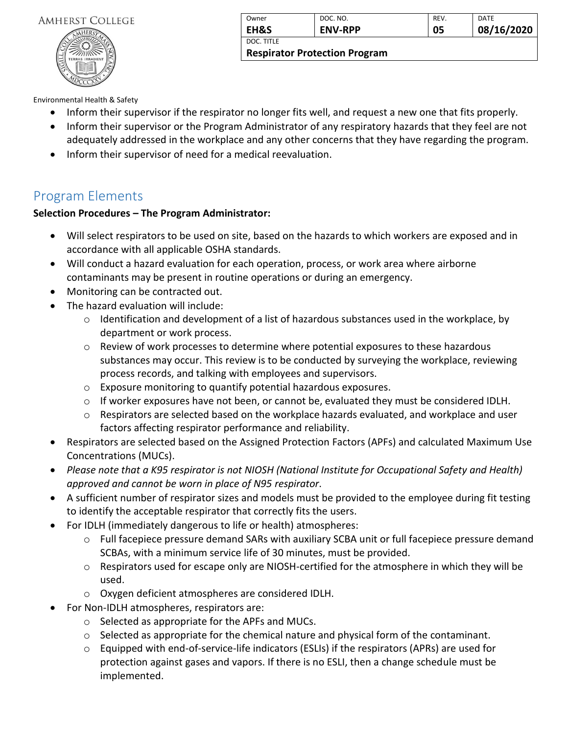

| Owner                                | DOC. NO.       | REV. | DATE       |
|--------------------------------------|----------------|------|------------|
| <b>EH&amp;S</b>                      | <b>ENV-RPP</b> | 05   | 08/16/2020 |
| DOC. TITLE                           |                |      |            |
| <b>Respirator Protection Program</b> |                |      |            |

Environmental Health & Safety

- Inform their supervisor if the respirator no longer fits well, and request a new one that fits properly.
- Inform their supervisor or the Program Administrator of any respiratory hazards that they feel are not adequately addressed in the workplace and any other concerns that they have regarding the program.
- Inform their supervisor of need for a medical reevaluation.

## <span id="page-4-0"></span>Program Elements

## **Selection Procedures – The Program Administrator:**

- Will select respirators to be used on site, based on the hazards to which workers are exposed and in accordance with all applicable OSHA standards.
- Will conduct a hazard evaluation for each operation, process, or work area where airborne contaminants may be present in routine operations or during an emergency.
- Monitoring can be contracted out.
- The hazard evaluation will include:
	- o Identification and development of a list of hazardous substances used in the workplace, by department or work process.
	- o Review of work processes to determine where potential exposures to these hazardous substances may occur. This review is to be conducted by surveying the workplace, reviewing process records, and talking with employees and supervisors.
	- o Exposure monitoring to quantify potential hazardous exposures.
	- $\circ$  If worker exposures have not been, or cannot be, evaluated they must be considered IDLH.
	- $\circ$  Respirators are selected based on the workplace hazards evaluated, and workplace and user factors affecting respirator performance and reliability.
- Respirators are selected based on the Assigned Protection Factors (APFs) and calculated Maximum Use Concentrations (MUCs).
- *Please note that a K95 respirator is not NIOSH (National Institute for Occupational Safety and Health) approved and cannot be worn in place of N95 respirator*.
- A sufficient number of respirator sizes and models must be provided to the employee during fit testing to identify the acceptable respirator that correctly fits the users.
- For IDLH (immediately dangerous to life or health) atmospheres:
	- o Full facepiece pressure demand SARs with auxiliary SCBA unit or full facepiece pressure demand SCBAs, with a minimum service life of 30 minutes, must be provided.
	- o Respirators used for escape only are NIOSH-certified for the atmosphere in which they will be used.
	- o Oxygen deficient atmospheres are considered IDLH.
- For Non-IDLH atmospheres, respirators are:
	- o Selected as appropriate for the APFs and MUCs.
	- $\circ$  Selected as appropriate for the chemical nature and physical form of the contaminant.
	- $\circ$  Equipped with end-of-service-life indicators (ESLIs) if the respirators (APRs) are used for protection against gases and vapors. If there is no ESLI, then a change schedule must be implemented.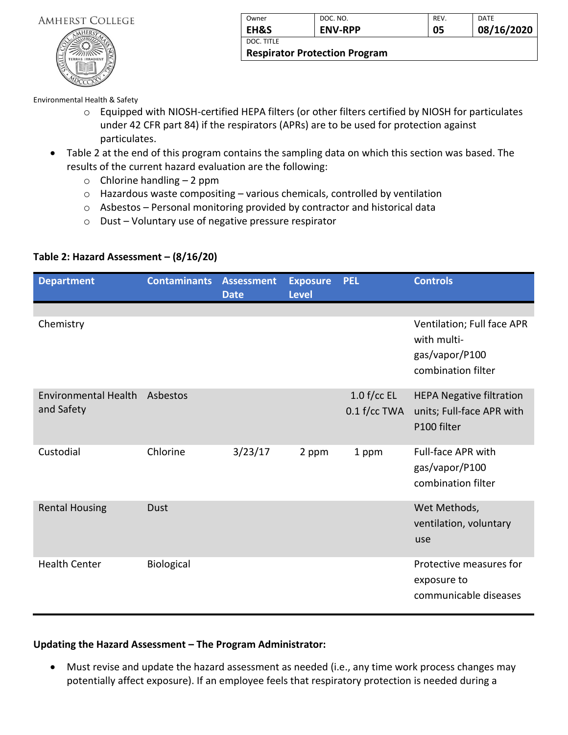

| Owner                                | DOC. NO.       | REV. | DATE       |  |
|--------------------------------------|----------------|------|------------|--|
| EH&S                                 | <b>ENV-RPP</b> | 05   | 08/16/2020 |  |
| DOC. TITLE                           |                |      |            |  |
| <b>Respirator Protection Program</b> |                |      |            |  |

Environmental Health & Safety

- o Equipped with NIOSH-certified HEPA filters (or other filters certified by NIOSH for particulates under 42 CFR part 84) if the respirators (APRs) are to be used for protection against particulates.
- Table 2 at the end of this program contains the sampling data on which this section was based. The results of the current hazard evaluation are the following:
	- $\circ$  Chlorine handling 2 ppm
	- o Hazardous waste compositing various chemicals, controlled by ventilation
	- o Asbestos Personal monitoring provided by contractor and historical data
	- o Dust Voluntary use of negative pressure respirator

| <b>Department</b>                         | <b>Contaminants</b> | <b>Assessment</b><br><b>Date</b> | <b>Exposure</b><br><b>Level</b> | <b>PEL</b>                    | <b>Controls</b>                                                                   |
|-------------------------------------------|---------------------|----------------------------------|---------------------------------|-------------------------------|-----------------------------------------------------------------------------------|
| Chemistry                                 |                     |                                  |                                 |                               | Ventilation; Full face APR<br>with multi-<br>gas/vapor/P100<br>combination filter |
| <b>Environmental Health</b><br>and Safety | Asbestos            |                                  |                                 | $1.0$ f/cc EL<br>0.1 f/cc TWA | <b>HEPA Negative filtration</b><br>units; Full-face APR with<br>P100 filter       |
| Custodial                                 | Chlorine            | 3/23/17                          | 2 ppm                           | 1 ppm                         | <b>Full-face APR with</b><br>gas/vapor/P100<br>combination filter                 |
| <b>Rental Housing</b>                     | <b>Dust</b>         |                                  |                                 |                               | Wet Methods,<br>ventilation, voluntary<br>use                                     |
| <b>Health Center</b>                      | Biological          |                                  |                                 |                               | Protective measures for<br>exposure to<br>communicable diseases                   |

#### **Table 2: Hazard Assessment – (8/16/20)**

## **Updating the Hazard Assessment – The Program Administrator:**

• Must revise and update the hazard assessment as needed (i.e., any time work process changes may potentially affect exposure). If an employee feels that respiratory protection is needed during a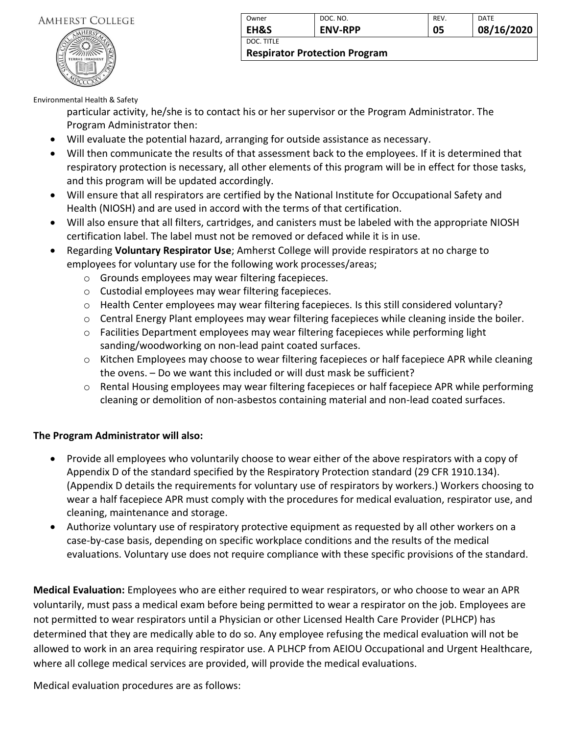

| Owner                                | DOC. NO.       | REV. | DATE       |
|--------------------------------------|----------------|------|------------|
| <b>EH&amp;S</b>                      | <b>ENV-RPP</b> | 05   | 08/16/2020 |
| DOC. TITLE                           |                |      |            |
| <b>Respirator Protection Program</b> |                |      |            |

Environmental Health & Safety

particular activity, he/she is to contact his or her supervisor or the Program Administrator. The Program Administrator then:

- Will evaluate the potential hazard, arranging for outside assistance as necessary.
- Will then communicate the results of that assessment back to the employees. If it is determined that respiratory protection is necessary, all other elements of this program will be in effect for those tasks, and this program will be updated accordingly.
- Will ensure that all respirators are certified by the National Institute for Occupational Safety and Health (NIOSH) and are used in accord with the terms of that certification.
- Will also ensure that all filters, cartridges, and canisters must be labeled with the appropriate NIOSH certification label. The label must not be removed or defaced while it is in use.
- Regarding **Voluntary Respirator Use**; Amherst College will provide respirators at no charge to employees for voluntary use for the following work processes/areas;
	- o Grounds employees may wear filtering facepieces.
	- o Custodial employees may wear filtering facepieces.
	- o Health Center employees may wear filtering facepieces. Is this still considered voluntary?
	- $\circ$  Central Energy Plant employees may wear filtering facepieces while cleaning inside the boiler.
	- o Facilities Department employees may wear filtering facepieces while performing light sanding/woodworking on non-lead paint coated surfaces.
	- $\circ$  Kitchen Employees may choose to wear filtering facepieces or half facepiece APR while cleaning the ovens. – Do we want this included or will dust mask be sufficient?
	- $\circ$  Rental Housing employees may wear filtering facepieces or half facepiece APR while performing cleaning or demolition of non-asbestos containing material and non-lead coated surfaces.

#### **The Program Administrator will also:**

- Provide all employees who voluntarily choose to wear either of the above respirators with a copy of Appendix D of the standard specified by the Respiratory Protection standard (29 CFR 1910.134). (Appendix D details the requirements for voluntary use of respirators by workers.) Workers choosing to wear a half facepiece APR must comply with the procedures for medical evaluation, respirator use, and cleaning, maintenance and storage.
- Authorize voluntary use of respiratory protective equipment as requested by all other workers on a case-by-case basis, depending on specific workplace conditions and the results of the medical evaluations. Voluntary use does not require compliance with these specific provisions of the standard.

**Medical Evaluation:** Employees who are either required to wear respirators, or who choose to wear an APR voluntarily, must pass a medical exam before being permitted to wear a respirator on the job. Employees are not permitted to wear respirators until a Physician or other Licensed Health Care Provider (PLHCP) has determined that they are medically able to do so. Any employee refusing the medical evaluation will not be allowed to work in an area requiring respirator use. A PLHCP from AEIOU Occupational and Urgent Healthcare, where all college medical services are provided, will provide the medical evaluations.

Medical evaluation procedures are as follows: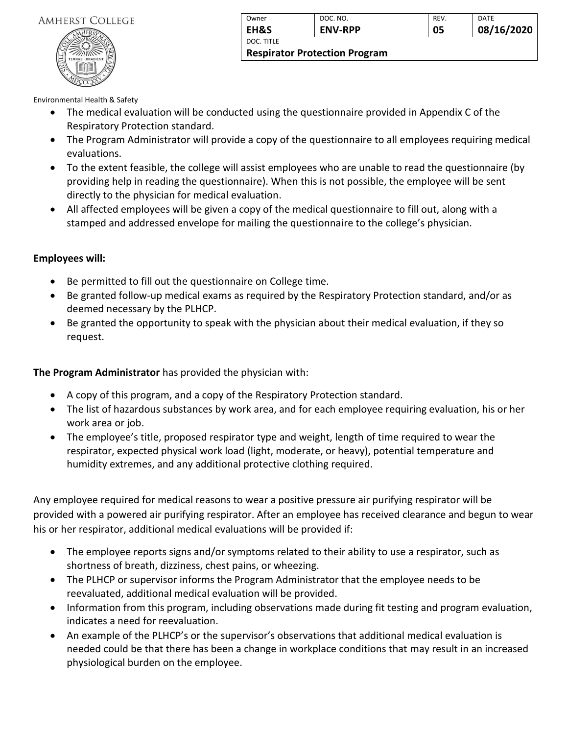

| Owner                                | DOC. NO.       | REV. | DATE       |
|--------------------------------------|----------------|------|------------|
| <b>EH&amp;S</b>                      | <b>ENV-RPP</b> | 05   | 08/16/2020 |
| DOC. TITLE                           |                |      |            |
| <b>Respirator Protection Program</b> |                |      |            |

Environmental Health & Safety

- The medical evaluation will be conducted using the questionnaire provided in Appendix C of the Respiratory Protection standard.
- The Program Administrator will provide a copy of the questionnaire to all employees requiring medical evaluations.
- To the extent feasible, the college will assist employees who are unable to read the questionnaire (by providing help in reading the questionnaire). When this is not possible, the employee will be sent directly to the physician for medical evaluation.
- All affected employees will be given a copy of the medical questionnaire to fill out, along with a stamped and addressed envelope for mailing the questionnaire to the college's physician.

#### **Employees will:**

- Be permitted to fill out the questionnaire on College time.
- Be granted follow-up medical exams as required by the Respiratory Protection standard, and/or as deemed necessary by the PLHCP.
- Be granted the opportunity to speak with the physician about their medical evaluation, if they so request.

**The Program Administrator** has provided the physician with:

- A copy of this program, and a copy of the Respiratory Protection standard.
- The list of hazardous substances by work area, and for each employee requiring evaluation, his or her work area or job.
- The employee's title, proposed respirator type and weight, length of time required to wear the respirator, expected physical work load (light, moderate, or heavy), potential temperature and humidity extremes, and any additional protective clothing required.

Any employee required for medical reasons to wear a positive pressure air purifying respirator will be provided with a powered air purifying respirator. After an employee has received clearance and begun to wear his or her respirator, additional medical evaluations will be provided if:

- The employee reports signs and/or symptoms related to their ability to use a respirator, such as shortness of breath, dizziness, chest pains, or wheezing.
- The PLHCP or supervisor informs the Program Administrator that the employee needs to be reevaluated, additional medical evaluation will be provided.
- Information from this program, including observations made during fit testing and program evaluation, indicates a need for reevaluation.
- An example of the PLHCP's or the supervisor's observations that additional medical evaluation is needed could be that there has been a change in workplace conditions that may result in an increased physiological burden on the employee.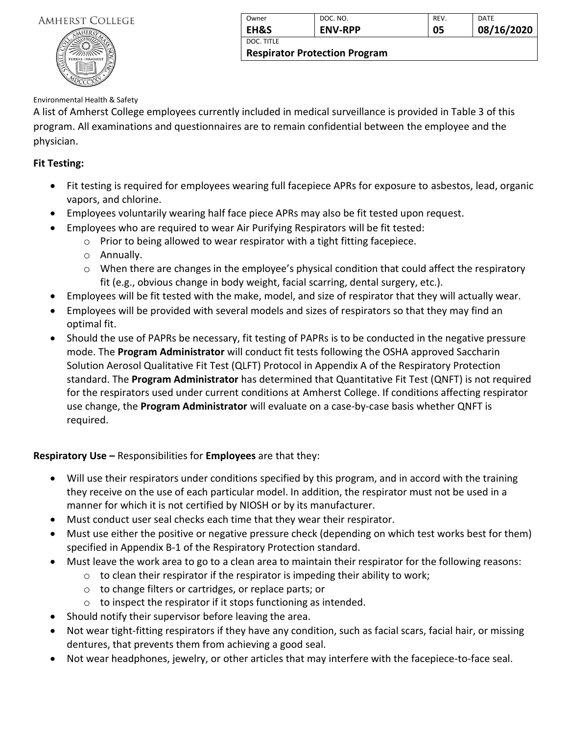

| Owner                                | DOC. NO.       | <b>REV.</b> | DATE       |
|--------------------------------------|----------------|-------------|------------|
| <b>EH&amp;S</b>                      | <b>ENV-RPP</b> | 05          | 08/16/2020 |
| DOC. TITLE                           |                |             |            |
| <b>Respirator Protection Program</b> |                |             |            |

#### Environmental Health & Safety

A list of Amherst College employees currently included in medical surveillance is provided in Table 3 of this program. All examinations and questionnaires are to remain confidential between the employee and the physician.

#### **Fit Testing:**

- Fit testing is required for employees wearing full facepiece APRs for exposure to asbestos, lead, organic vapors, and chlorine.
- Employees voluntarily wearing half face piece APRs may also be fit tested upon request.
- Employees who are required to wear Air Purifying Respirators will be fit tested:
	- o Prior to being allowed to wear respirator with a tight fitting facepiece.
	- o Annually.
	- $\circ$  When there are changes in the employee's physical condition that could affect the respiratory fit (e.g., obvious change in body weight, facial scarring, dental surgery, etc.).
- Employees will be fit tested with the make, model, and size of respirator that they will actually wear.
- Employees will be provided with several models and sizes of respirators so that they may find an optimal fit.
- Should the use of PAPRs be necessary, fit testing of PAPRs is to be conducted in the negative pressure mode. The **Program Administrator** will conduct fit tests following the OSHA approved Saccharin Solution Aerosol Qualitative Fit Test (QLFT) Protocol in Appendix A of the Respiratory Protection standard. The **Program Administrator** has determined that Quantitative Fit Test (QNFT) is not required for the respirators used under current conditions at Amherst College. If conditions affecting respirator use change, the **Program Administrator** will evaluate on a case-by-case basis whether QNFT is required.

## **Respiratory Use –** Responsibilities for **Employees** are that they:

- Will use their respirators under conditions specified by this program, and in accord with the training they receive on the use of each particular model. In addition, the respirator must not be used in a manner for which it is not certified by NIOSH or by its manufacturer.
- Must conduct user seal checks each time that they wear their respirator.
- Must use either the positive or negative pressure check (depending on which test works best for them) specified in Appendix B-1 of the Respiratory Protection standard.
- Must leave the work area to go to a clean area to maintain their respirator for the following reasons:
	- $\circ$  to clean their respirator if the respirator is impeding their ability to work;
		- o to change filters or cartridges, or replace parts; or
		- $\circ$  to inspect the respirator if it stops functioning as intended.
- Should notify their supervisor before leaving the area.
- Not wear tight-fitting respirators if they have any condition, such as facial scars, facial hair, or missing dentures, that prevents them from achieving a good seal.
- Not wear headphones, jewelry, or other articles that may interfere with the facepiece-to-face seal.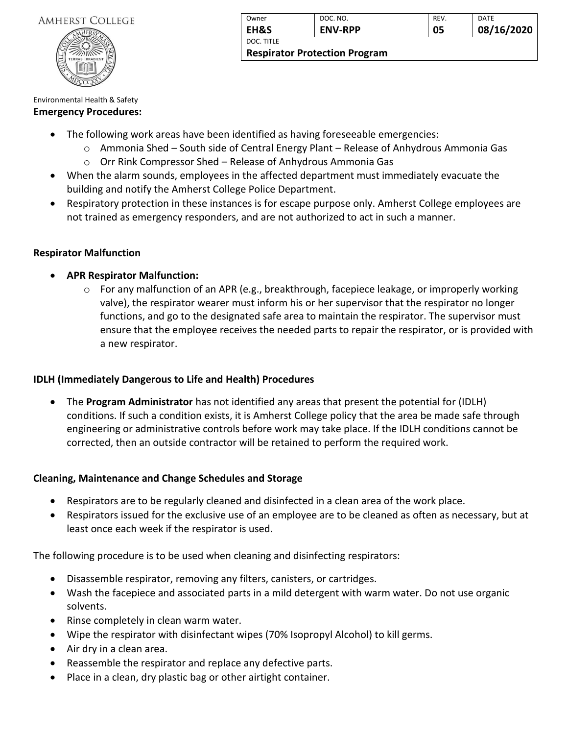

| Owner      | DOC. NO.       | REV. | <b>DATE</b> |
|------------|----------------|------|-------------|
| EH&S       | <b>ENV-RPP</b> | 05   | 08/16/2020  |
| DOC. TITLE |                |      |             |

**Respirator Protection Program**

#### Environmental Health & Safety

#### **Emergency Procedures:**

- The following work areas have been identified as having foreseeable emergencies:
	- $\circ$  Ammonia Shed South side of Central Energy Plant Release of Anhydrous Ammonia Gas
	- o Orr Rink Compressor Shed Release of Anhydrous Ammonia Gas
- When the alarm sounds, employees in the affected department must immediately evacuate the building and notify the Amherst College Police Department.
- Respiratory protection in these instances is for escape purpose only. Amherst College employees are not trained as emergency responders, and are not authorized to act in such a manner.

### **Respirator Malfunction**

- **APR Respirator Malfunction:**
	- o For any malfunction of an APR (e.g., breakthrough, facepiece leakage, or improperly working valve), the respirator wearer must inform his or her supervisor that the respirator no longer functions, and go to the designated safe area to maintain the respirator. The supervisor must ensure that the employee receives the needed parts to repair the respirator, or is provided with a new respirator.

## **IDLH (Immediately Dangerous to Life and Health) Procedures**

• The **Program Administrator** has not identified any areas that present the potential for (IDLH) conditions. If such a condition exists, it is Amherst College policy that the area be made safe through engineering or administrative controls before work may take place. If the IDLH conditions cannot be corrected, then an outside contractor will be retained to perform the required work.

## **Cleaning, Maintenance and Change Schedules and Storage**

- Respirators are to be regularly cleaned and disinfected in a clean area of the work place.
- Respirators issued for the exclusive use of an employee are to be cleaned as often as necessary, but at least once each week if the respirator is used.

The following procedure is to be used when cleaning and disinfecting respirators:

- Disassemble respirator, removing any filters, canisters, or cartridges.
- Wash the facepiece and associated parts in a mild detergent with warm water. Do not use organic solvents.
- Rinse completely in clean warm water.
- Wipe the respirator with disinfectant wipes (70% Isopropyl Alcohol) to kill germs.
- Air dry in a clean area.
- Reassemble the respirator and replace any defective parts.
- Place in a clean, dry plastic bag or other airtight container.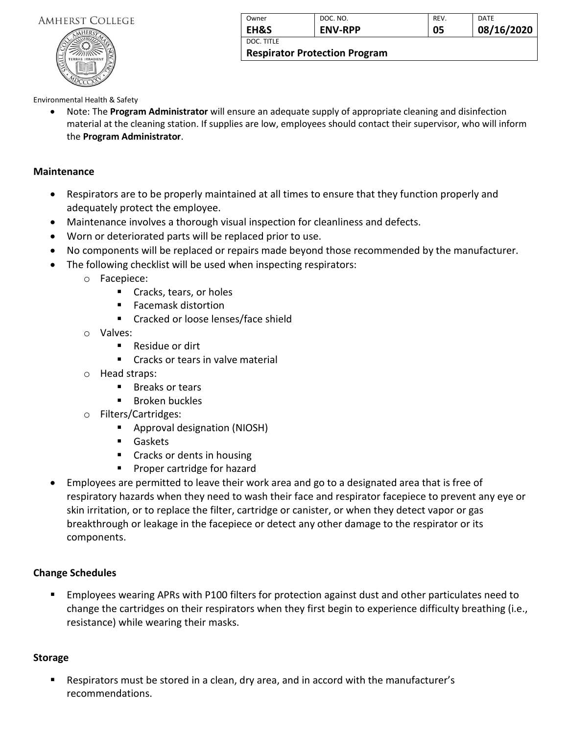

| Owner                                | DOC. NO.       | <b>REV.</b> | DATE       |
|--------------------------------------|----------------|-------------|------------|
| EH&S                                 | <b>ENV-RPP</b> | 05          | 08/16/2020 |
| DOC. TITLE                           |                |             |            |
| <b>Respirator Protection Program</b> |                |             |            |

#### Environmental Health & Safety

• Note: The **Program Administrator** will ensure an adequate supply of appropriate cleaning and disinfection material at the cleaning station. If supplies are low, employees should contact their supervisor, who will inform the **Program Administrator**.

#### **Maintenance**

- Respirators are to be properly maintained at all times to ensure that they function properly and adequately protect the employee.
- Maintenance involves a thorough visual inspection for cleanliness and defects.
- Worn or deteriorated parts will be replaced prior to use.
- No components will be replaced or repairs made beyond those recommended by the manufacturer.
- The following checklist will be used when inspecting respirators:
	- o Facepiece:
		- Cracks, tears, or holes
		- Facemask distortion
		- Cracked or loose lenses/face shield
	- o Valves:
		- Residue or dirt
		- Cracks or tears in valve material
	- o Head straps:
		- Breaks or tears
		- Broken buckles
	- o Filters/Cartridges:
		- Approval designation (NIOSH)
		- Gaskets
		- Cracks or dents in housing
		- Proper cartridge for hazard
- Employees are permitted to leave their work area and go to a designated area that is free of respiratory hazards when they need to wash their face and respirator facepiece to prevent any eye or skin irritation, or to replace the filter, cartridge or canister, or when they detect vapor or gas breakthrough or leakage in the facepiece or detect any other damage to the respirator or its components.

#### **Change Schedules**

■ Employees wearing APRs with P100 filters for protection against dust and other particulates need to change the cartridges on their respirators when they first begin to experience difficulty breathing (i.e., resistance) while wearing their masks.

#### **Storage**

Respirators must be stored in a clean, dry area, and in accord with the manufacturer's recommendations.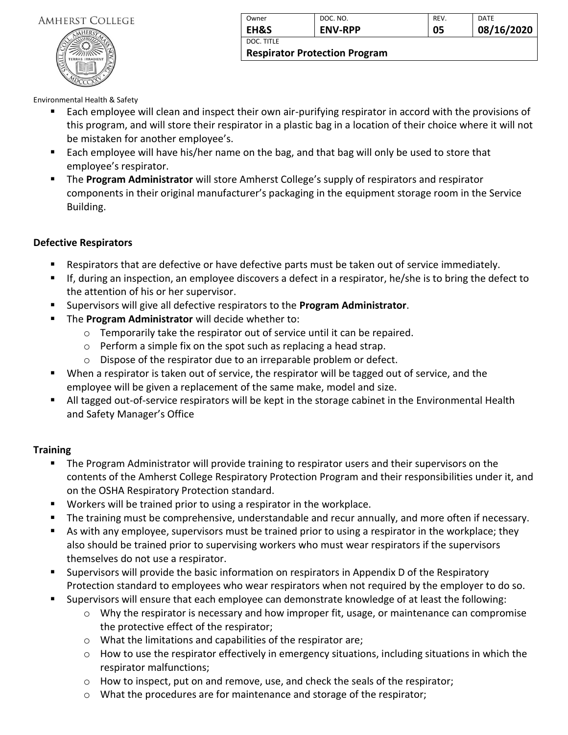

| Owner                                | DOC. NO.       | <b>REV.</b> | DATE       |
|--------------------------------------|----------------|-------------|------------|
| <b>EH&amp;S</b>                      | <b>ENV-RPP</b> | 05          | 08/16/2020 |
| DOC. TITLE                           |                |             |            |
| <b>Respirator Protection Program</b> |                |             |            |

Environmental Health & Safety

- Each employee will clean and inspect their own air-purifying respirator in accord with the provisions of this program, and will store their respirator in a plastic bag in a location of their choice where it will not be mistaken for another employee's.
- Each employee will have his/her name on the bag, and that bag will only be used to store that employee's respirator.
- **. The Program Administrator** will store Amherst College's supply of respirators and respirator components in their original manufacturer's packaging in the equipment storage room in the Service Building.

#### **Defective Respirators**

- Respirators that are defective or have defective parts must be taken out of service immediately.
- If, during an inspection, an employee discovers a defect in a respirator, he/she is to bring the defect to the attention of his or her supervisor.
- Supervisors will give all defective respirators to the **Program Administrator**.
- The **Program Administrator** will decide whether to:
	- o Temporarily take the respirator out of service until it can be repaired.
	- o Perform a simple fix on the spot such as replacing a head strap.
	- o Dispose of the respirator due to an irreparable problem or defect.
- When a respirator is taken out of service, the respirator will be tagged out of service, and the employee will be given a replacement of the same make, model and size.
- All tagged out-of-service respirators will be kept in the storage cabinet in the Environmental Health and Safety Manager's Office

#### **Training**

- **•** The Program Administrator will provide training to respirator users and their supervisors on the contents of the Amherst College Respiratory Protection Program and their responsibilities under it, and on the OSHA Respiratory Protection standard.
- Workers will be trained prior to using a respirator in the workplace.
- The training must be comprehensive, understandable and recur annually, and more often if necessary.
- As with any employee, supervisors must be trained prior to using a respirator in the workplace; they also should be trained prior to supervising workers who must wear respirators if the supervisors themselves do not use a respirator.
- Supervisors will provide the basic information on respirators in Appendix D of the Respiratory Protection standard to employees who wear respirators when not required by the employer to do so.
- Supervisors will ensure that each employee can demonstrate knowledge of at least the following:
	- $\circ$  Why the respirator is necessary and how improper fit, usage, or maintenance can compromise the protective effect of the respirator;
	- o What the limitations and capabilities of the respirator are;
	- o How to use the respirator effectively in emergency situations, including situations in which the respirator malfunctions;
	- $\circ$  How to inspect, put on and remove, use, and check the seals of the respirator;
	- o What the procedures are for maintenance and storage of the respirator;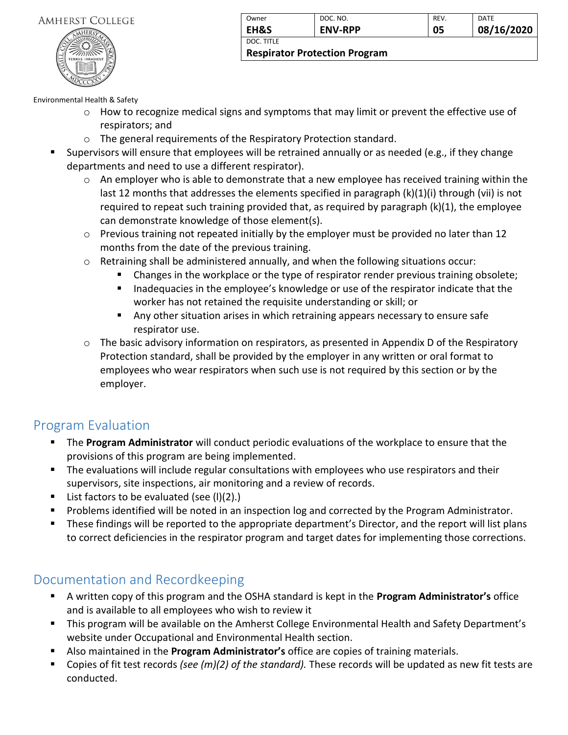

| Owner                                | DOC. NO.       | REV. | DATE       |
|--------------------------------------|----------------|------|------------|
| EH&S                                 | <b>ENV-RPP</b> | 05   | 08/16/2020 |
| DOC. TITLE                           |                |      |            |
| <b>Respirator Protection Program</b> |                |      |            |

Environmental Health & Safety

- o How to recognize medical signs and symptoms that may limit or prevent the effective use of respirators; and
- o The general requirements of the Respiratory Protection standard.
- Supervisors will ensure that employees will be retrained annually or as needed (e.g., if they change departments and need to use a different respirator).
	- $\circ$  An employer who is able to demonstrate that a new employee has received training within the last 12 months that addresses the elements specified in paragraph (k)(1)(i) through (vii) is not required to repeat such training provided that, as required by paragraph (k)(1), the employee can demonstrate knowledge of those element(s).
	- $\circ$  Previous training not repeated initially by the employer must be provided no later than 12 months from the date of the previous training.
	- $\circ$  Retraining shall be administered annually, and when the following situations occur:
		- Changes in the workplace or the type of respirator render previous training obsolete;
		- Inadequacies in the employee's knowledge or use of the respirator indicate that the worker has not retained the requisite understanding or skill; or
		- Any other situation arises in which retraining appears necessary to ensure safe respirator use.
	- $\circ$  The basic advisory information on respirators, as presented in Appendix D of the Respiratory Protection standard, shall be provided by the employer in any written or oral format to employees who wear respirators when such use is not required by this section or by the employer.

## Program Evaluation

- The **Program Administrator** will conduct periodic evaluations of the workplace to ensure that the provisions of this program are being implemented.
- The evaluations will include regular consultations with employees who use respirators and their supervisors, site inspections, air monitoring and a review of records.
- List factors to be evaluated (see  $(I)(2)$ .)
- Problems identified will be noted in an inspection log and corrected by the Program Administrator.
- **E** These findings will be reported to the appropriate department's Director, and the report will list plans to correct deficiencies in the respirator program and target dates for implementing those corrections.

## Documentation and Recordkeeping

- A written copy of this program and the OSHA standard is kept in the **Program Administrator's** office and is available to all employees who wish to review it
- This program will be available on the Amherst College Environmental Health and Safety Department's website under Occupational and Environmental Health section.
- Also maintained in the **Program Administrator's** office are copies of training materials.
- Copies of fit test records *(see (m)(2) of the standard)*. These records will be updated as new fit tests are conducted.